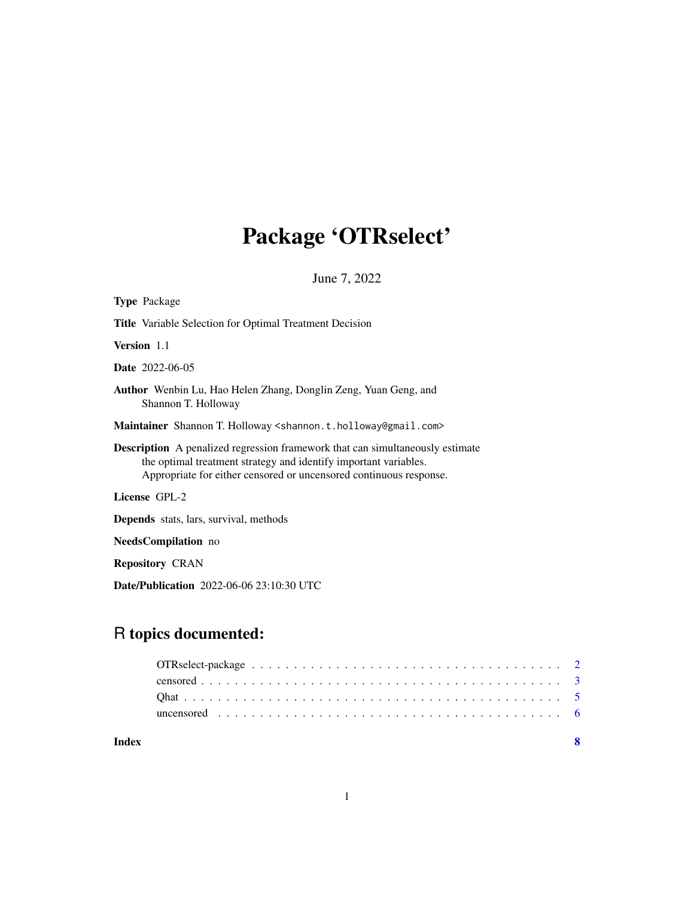# Package 'OTRselect'

June 7, 2022

| <b>Type Package</b>                                                                                                                                                                                                            |
|--------------------------------------------------------------------------------------------------------------------------------------------------------------------------------------------------------------------------------|
| <b>Title</b> Variable Selection for Optimal Treatment Decision                                                                                                                                                                 |
| <b>Version</b> 1.1                                                                                                                                                                                                             |
| <b>Date</b> 2022-06-05                                                                                                                                                                                                         |
| Author Wenbin Lu, Hao Helen Zhang, Donglin Zeng, Yuan Geng, and<br>Shannon T. Holloway                                                                                                                                         |
| <b>Maintainer</b> Shannon T. Holloway < shannon.t.holloway @gmail.com>                                                                                                                                                         |
| <b>Description</b> A penalized regression framework that can simultaneously estimate<br>the optimal treatment strategy and identify important variables.<br>Appropriate for either censored or uncensored continuous response. |
| License GPL-2                                                                                                                                                                                                                  |
| <b>Depends</b> stats, lars, survival, methods                                                                                                                                                                                  |
| <b>NeedsCompilation</b> no                                                                                                                                                                                                     |
| <b>Repository CRAN</b>                                                                                                                                                                                                         |

Date/Publication 2022-06-06 23:10:30 UTC

# R topics documented:

| Index |  |
|-------|--|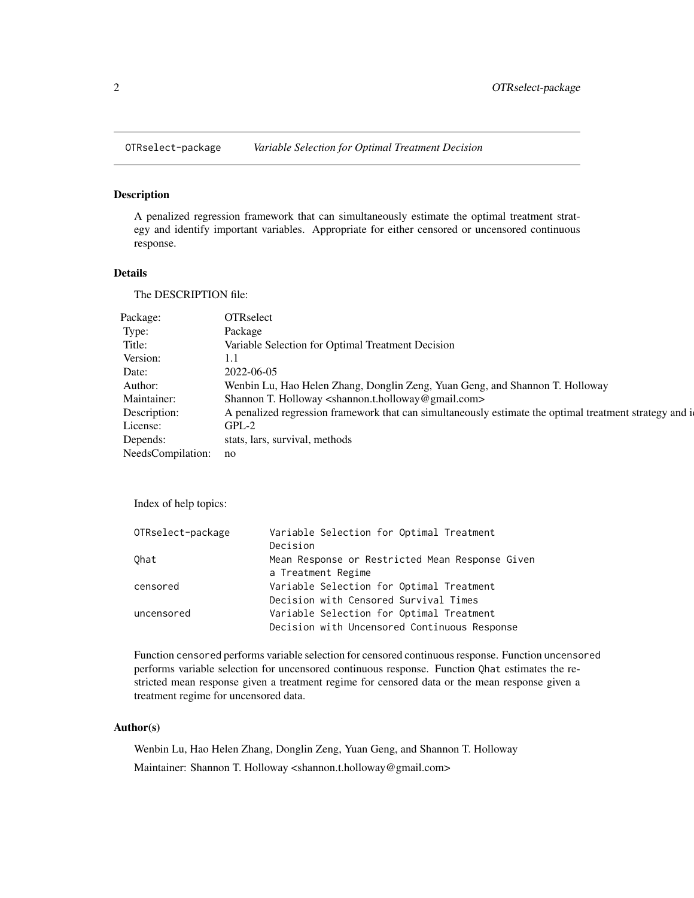<span id="page-1-0"></span>

### Description

A penalized regression framework that can simultaneously estimate the optimal treatment strategy and identify important variables. Appropriate for either censored or uncensored continuous response.

#### Details

The DESCRIPTION file:

| Package:             | <b>OTRselect</b>                                                                                       |
|----------------------|--------------------------------------------------------------------------------------------------------|
| Type:                | Package                                                                                                |
| Title:               | Variable Selection for Optimal Treatment Decision                                                      |
| Version:             |                                                                                                        |
| Date:                | 2022-06-05                                                                                             |
| Author:              | Wenbin Lu, Hao Helen Zhang, Donglin Zeng, Yuan Geng, and Shannon T. Holloway                           |
| Maintainer:          | Shannon T. Holloway <shannon.t.holloway@gmail.com></shannon.t.holloway@gmail.com>                      |
| Description:         | A penalized regression framework that can simultaneously estimate the optimal treatment strategy and i |
| License:             | $GPL-2$                                                                                                |
| Depends:             | stats, lars, survival, methods                                                                         |
| NeedsCompilation: no |                                                                                                        |

Index of help topics:

| Variable Selection for Optimal Treatment        |
|-------------------------------------------------|
| Decision                                        |
| Mean Response or Restricted Mean Response Given |
| a Treatment Regime                              |
| Variable Selection for Optimal Treatment        |
| Decision with Censored Survival Times           |
| Variable Selection for Optimal Treatment        |
| Decision with Uncensored Continuous Response    |
|                                                 |

Function censored performs variable selection for censored continuous response. Function uncensored performs variable selection for uncensored continuous response. Function Qhat estimates the restricted mean response given a treatment regime for censored data or the mean response given a treatment regime for uncensored data.

## Author(s)

Wenbin Lu, Hao Helen Zhang, Donglin Zeng, Yuan Geng, and Shannon T. Holloway Maintainer: Shannon T. Holloway <shannon.t.holloway@gmail.com>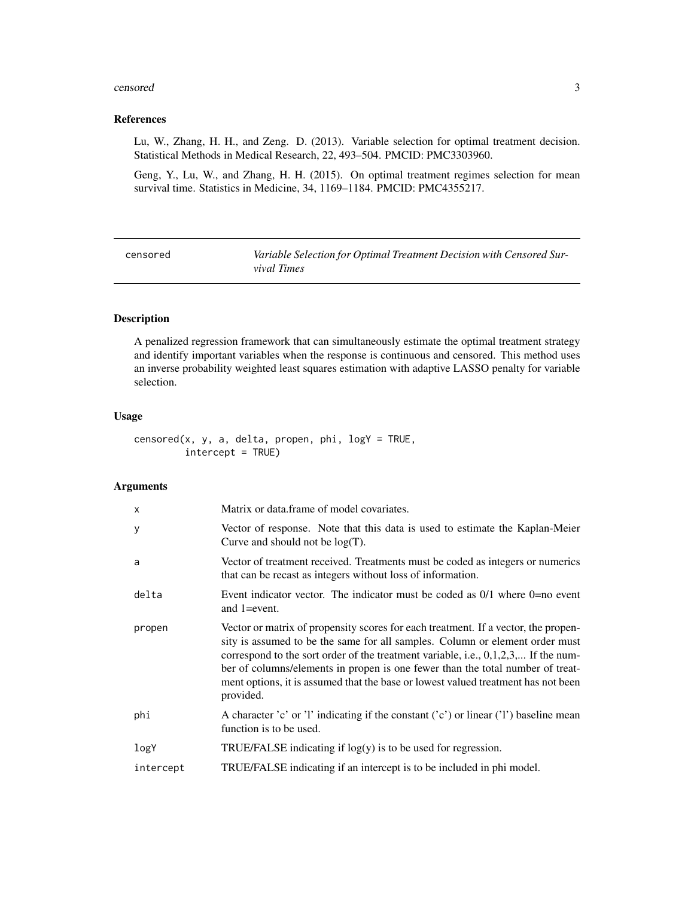#### <span id="page-2-0"></span>censored 3

#### References

Lu, W., Zhang, H. H., and Zeng. D. (2013). Variable selection for optimal treatment decision. Statistical Methods in Medical Research, 22, 493–504. PMCID: PMC3303960.

Geng, Y., Lu, W., and Zhang, H. H. (2015). On optimal treatment regimes selection for mean survival time. Statistics in Medicine, 34, 1169–1184. PMCID: PMC4355217.

| censored | Variable Selection for Optimal Treatment Decision with Censored Sur- |
|----------|----------------------------------------------------------------------|
|          | <i>vival Times</i>                                                   |

# Description

A penalized regression framework that can simultaneously estimate the optimal treatment strategy and identify important variables when the response is continuous and censored. This method uses an inverse probability weighted least squares estimation with adaptive LASSO penalty for variable selection.

# Usage

censored(x, y, a, delta, propen, phi,  $logY = TRUE$ , intercept = TRUE)

# Arguments

| Matrix or data.frame of model covariates.                                                                                                                                                                                                                                                                                                                                                                                                      |
|------------------------------------------------------------------------------------------------------------------------------------------------------------------------------------------------------------------------------------------------------------------------------------------------------------------------------------------------------------------------------------------------------------------------------------------------|
| Vector of response. Note that this data is used to estimate the Kaplan-Meier<br>Curve and should not be $log(T)$ .                                                                                                                                                                                                                                                                                                                             |
| Vector of treatment received. Treatments must be coded as integers or numerics<br>that can be recast as integers without loss of information.                                                                                                                                                                                                                                                                                                  |
| Event indicator vector. The indicator must be coded as $0/1$ where $0=$ no event<br>and $1 = event$ .                                                                                                                                                                                                                                                                                                                                          |
| Vector or matrix of propensity scores for each treatment. If a vector, the propen-<br>sity is assumed to be the same for all samples. Column or element order must<br>correspond to the sort order of the treatment variable, i.e., $0,1,2,3,$ If the num-<br>ber of columns/elements in propen is one fewer than the total number of treat-<br>ment options, it is assumed that the base or lowest valued treatment has not been<br>provided. |
| A character 'c' or 'l' indicating if the constant ('c') or linear ('l') baseline mean<br>function is to be used.                                                                                                                                                                                                                                                                                                                               |
| TRUE/FALSE indicating if $log(y)$ is to be used for regression.                                                                                                                                                                                                                                                                                                                                                                                |
| TRUE/FALSE indicating if an intercept is to be included in phi model.                                                                                                                                                                                                                                                                                                                                                                          |
|                                                                                                                                                                                                                                                                                                                                                                                                                                                |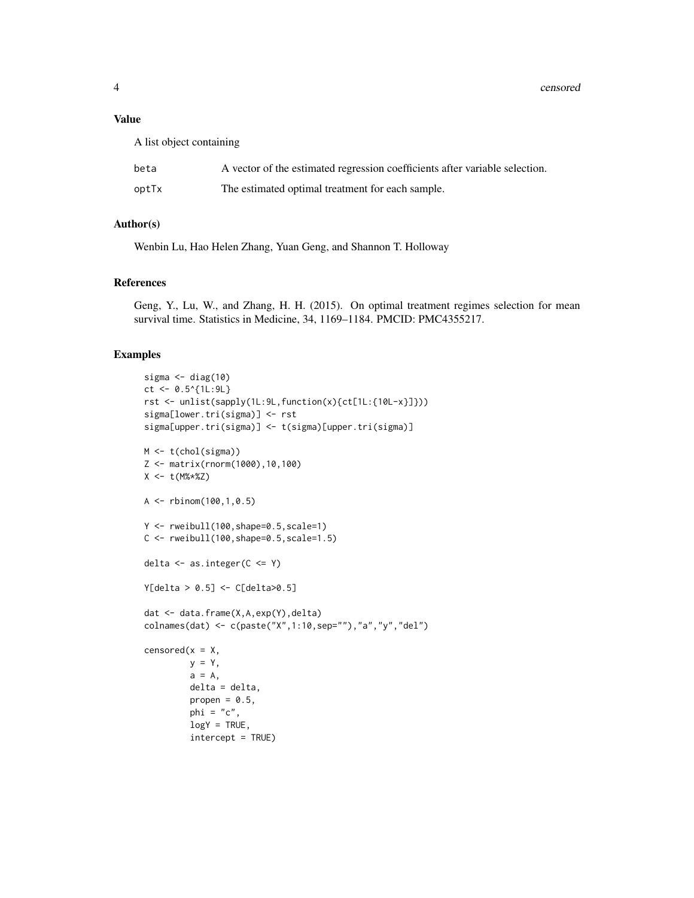4 censored

# Value

A list object containing

| beta  | A vector of the estimated regression coefficients after variable selection. |
|-------|-----------------------------------------------------------------------------|
| optTx | The estimated optimal treatment for each sample.                            |

# Author(s)

Wenbin Lu, Hao Helen Zhang, Yuan Geng, and Shannon T. Holloway

# References

Geng, Y., Lu, W., and Zhang, H. H. (2015). On optimal treatment regimes selection for mean survival time. Statistics in Medicine, 34, 1169–1184. PMCID: PMC4355217.

# Examples

```
sigma \leq diag(10)
ct <- 0.5^{(1L:9L)}rst <- unlist(sapply(1L:9L,function(x){ct[1L:{10L-x}]}))
sigma[lower.tri(sigma)] <- rst
sigma[upper.tri(sigma)] <- t(sigma)[upper.tri(sigma)]
M <- t(chol(sigma))
Z <- matrix(rnorm(1000),10,100)
X <- t(M%*%Z)
A <- rbinom(100,1,0.5)
Y <- rweibull(100,shape=0.5,scale=1)
C \le - rweibull(100, shape=0.5, scale=1.5)
delta \leq as. integer(C \leq Y)
Y[delta > 0.5] <- C[delta>0.5]
dat <- data.frame(X,A,exp(Y),delta)
colnames(dat) <- c(paste("X",1:10,sep=""),"a","y","del")
censored(x = X,
         y = Y,
         a = A,
         delta = delta,
         propen = 0.5,
         phi = "c",logY = TRUE,intercept = TRUE)
```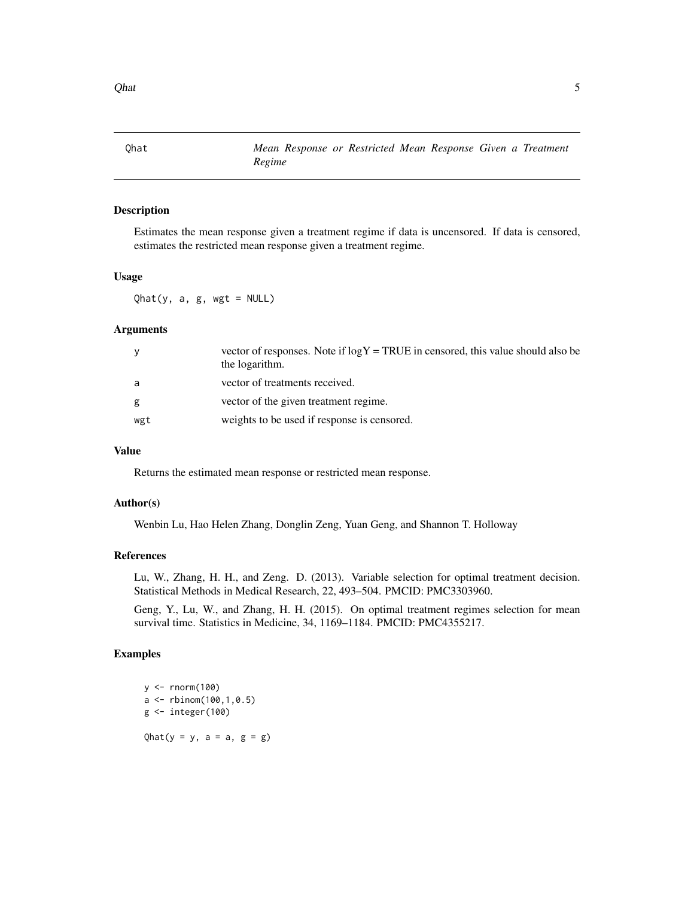<span id="page-4-0"></span> $Qhat$  5

Qhat *Mean Response or Restricted Mean Response Given a Treatment Regime*

#### Description

Estimates the mean response given a treatment regime if data is uncensored. If data is censored, estimates the restricted mean response given a treatment regime.

# Usage

 $Qhat(y, a, g, wgt = NULL)$ 

# Arguments

| V   | vector of responses. Note if $log Y = TRUE$ in censored, this value should also be<br>the logarithm. |
|-----|------------------------------------------------------------------------------------------------------|
| a   | vector of treatments received.                                                                       |
| g   | vector of the given treatment regime.                                                                |
| wgt | weights to be used if response is censored.                                                          |

#### Value

Returns the estimated mean response or restricted mean response.

## Author(s)

Wenbin Lu, Hao Helen Zhang, Donglin Zeng, Yuan Geng, and Shannon T. Holloway

## References

Lu, W., Zhang, H. H., and Zeng. D. (2013). Variable selection for optimal treatment decision. Statistical Methods in Medical Research, 22, 493–504. PMCID: PMC3303960.

Geng, Y., Lu, W., and Zhang, H. H. (2015). On optimal treatment regimes selection for mean survival time. Statistics in Medicine, 34, 1169–1184. PMCID: PMC4355217.

# Examples

y <- rnorm(100) a <- rbinom(100,1,0.5)  $g \leftarrow$  integer(100) Qhat( $y = y$ ,  $a = a$ ,  $g = g$ )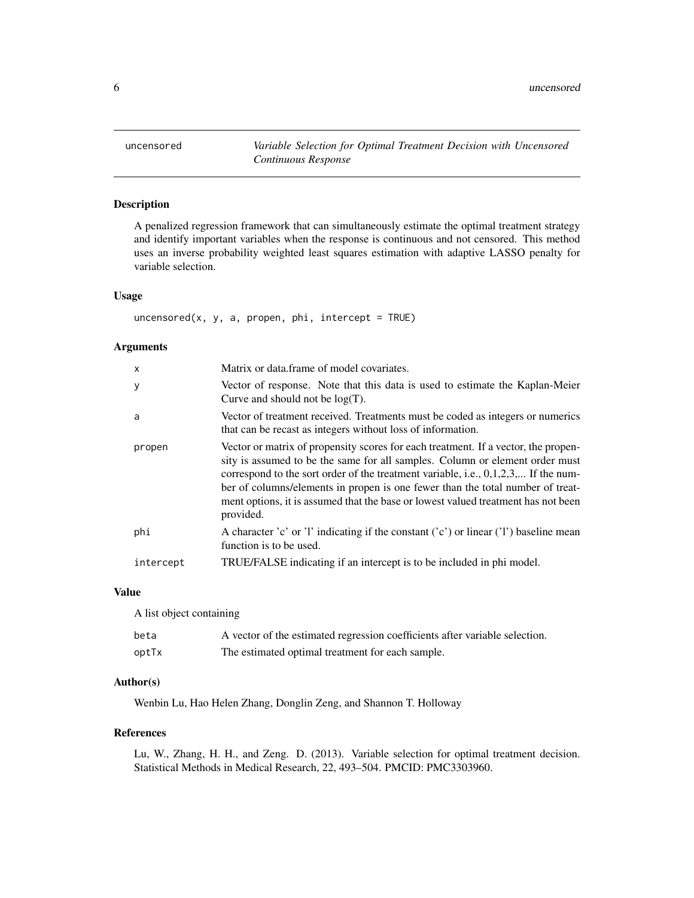<span id="page-5-0"></span>

# Description

A penalized regression framework that can simultaneously estimate the optimal treatment strategy and identify important variables when the response is continuous and not censored. This method uses an inverse probability weighted least squares estimation with adaptive LASSO penalty for variable selection.

#### Usage

 $uncensored(x, y, a, propen, phi, intercept = TRUE)$ 

#### Arguments

| $\mathsf{x}$ | Matrix or data frame of model covariates.                                                                                                                                                                                                                                                                                                                                                                                                      |
|--------------|------------------------------------------------------------------------------------------------------------------------------------------------------------------------------------------------------------------------------------------------------------------------------------------------------------------------------------------------------------------------------------------------------------------------------------------------|
| y            | Vector of response. Note that this data is used to estimate the Kaplan-Meier<br>Curve and should not be $log(T)$ .                                                                                                                                                                                                                                                                                                                             |
| a            | Vector of treatment received. Treatments must be coded as integers or numerics<br>that can be recast as integers without loss of information.                                                                                                                                                                                                                                                                                                  |
| propen       | Vector or matrix of propensity scores for each treatment. If a vector, the propen-<br>sity is assumed to be the same for all samples. Column or element order must<br>correspond to the sort order of the treatment variable, i.e., $0,1,2,3,$ If the num-<br>ber of columns/elements in propen is one fewer than the total number of treat-<br>ment options, it is assumed that the base or lowest valued treatment has not been<br>provided. |
| phi          | A character 'c' or 'l' indicating if the constant ('c') or linear ('l') baseline mean<br>function is to be used.                                                                                                                                                                                                                                                                                                                               |
| intercept    | TRUE/FALSE indicating if an intercept is to be included in phi model.                                                                                                                                                                                                                                                                                                                                                                          |

#### Value

A list object containing

| beta  | A vector of the estimated regression coefficients after variable selection. |
|-------|-----------------------------------------------------------------------------|
| optTx | The estimated optimal treatment for each sample.                            |

#### Author(s)

Wenbin Lu, Hao Helen Zhang, Donglin Zeng, and Shannon T. Holloway

#### References

Lu, W., Zhang, H. H., and Zeng. D. (2013). Variable selection for optimal treatment decision. Statistical Methods in Medical Research, 22, 493–504. PMCID: PMC3303960.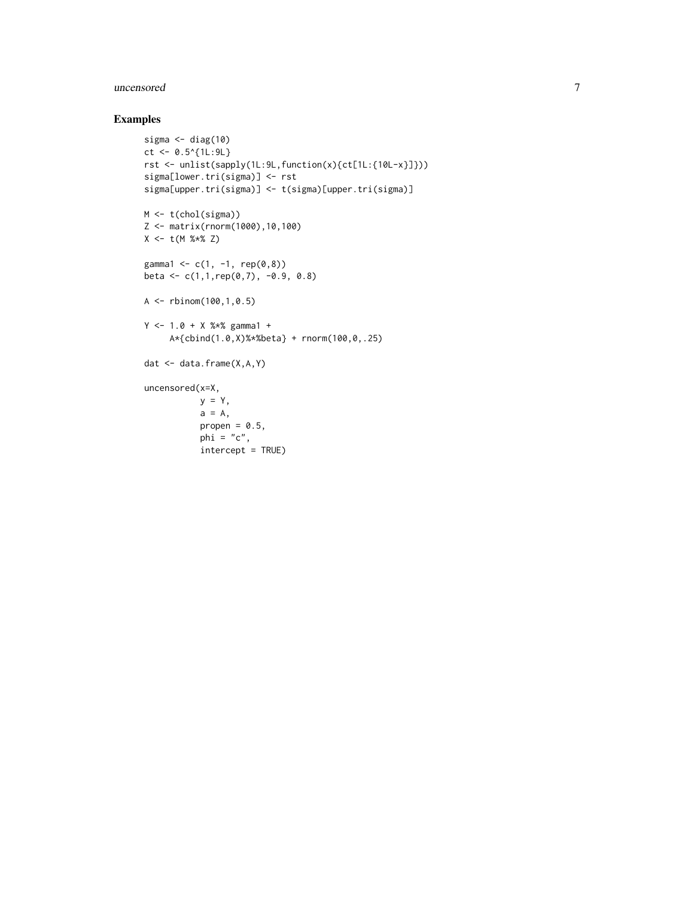#### uncensored 7

# Examples

```
sigma \leq diag(10)
ct <- 0.5^{\circ}{1L:9L}
rst <- unlist(sapply(1L:9L,function(x){ct[1L:{10L-x}]}))
sigma[lower.tri(sigma)] <- rst
sigma[upper.tri(sigma)] <- t(sigma)[upper.tri(sigma)]
M <- t(chol(sigma))
Z <- matrix(rnorm(1000),10,100)
X \leftarrow t(M %*% Z)gamma1 <- c(1, -1, rep(0,8))
beta <- c(1,1,rep(0,7), -0.9, 0.8)
A <- rbinom(100,1,0.5)
Y \le -1.0 + X % gamma1 +
     A*{cbind(1.0,X)%*%beta} + rnorm(100,0,.25)
dat <- data.frame(X,A,Y)
uncensored(x=X,
           y = Y,
           a = A,
           propen = 0.5,
           phi = "c",intercept = TRUE)
```